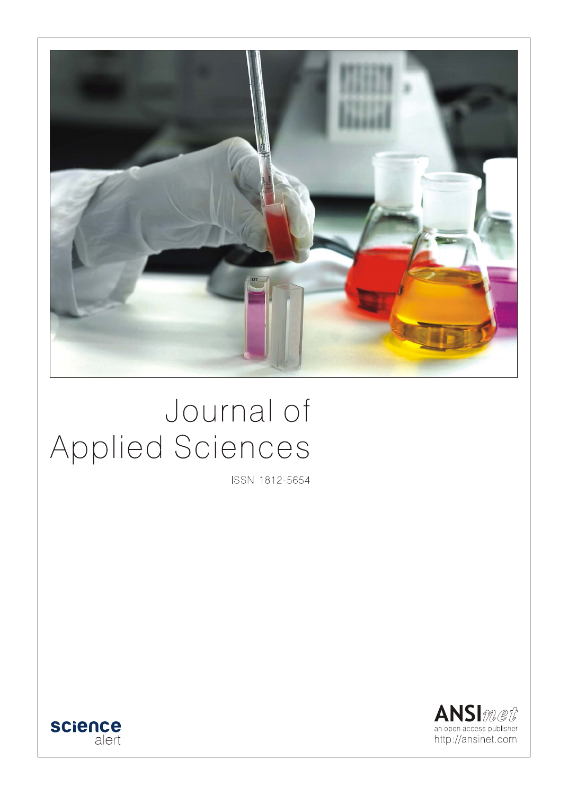

# Journal of Applied Sciences

ISSN 1812-5654



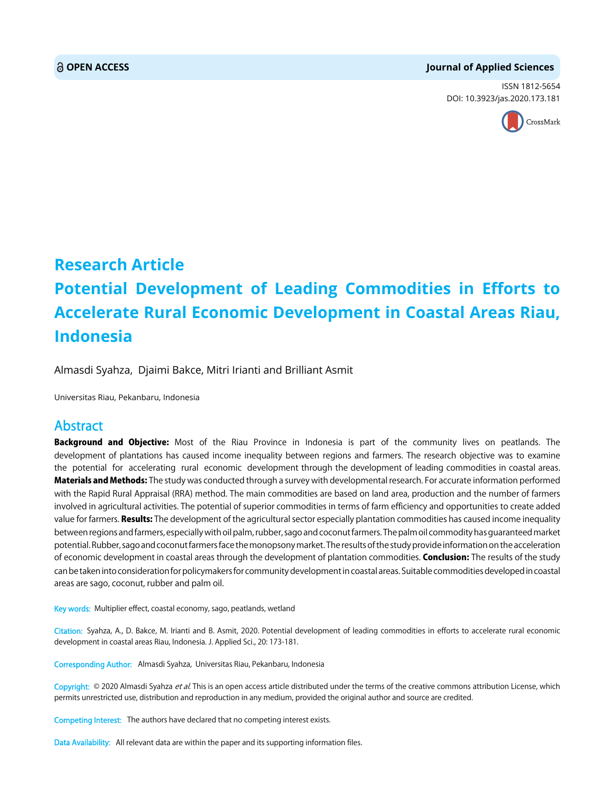#### **OPEN ACCESS Journal of Applied Sciences**

ISSN 1812-5654 DOI: 10.3923/jas.2020.173.181



## **Research Article Potential Development of Leading Commodities in Efforts to Accelerate Rural Economic Development in Coastal Areas Riau, Indonesia**

Almasdi Syahza, Djaimi Bakce, Mitri Irianti and Brilliant Asmit

Universitas Riau, Pekanbaru, Indonesia

### Abstract

Background and Objective: Most of the Riau Province in Indonesia is part of the community lives on peatlands. The development of plantations has caused income inequality between regions and farmers. The research objective was to examine the potential for accelerating rural economic development through the development of leading commodities in coastal areas. Materials and Methods: The study was conducted through a survey with developmental research. For accurate information performed with the Rapid Rural Appraisal (RRA) method. The main commodities are based on land area, production and the number of farmers involved in agricultural activities. The potential of superior commodities in terms of farm efficiency and opportunities to create added value for farmers. Results: The development of the agricultural sector especially plantation commodities has caused income inequality between regions and farmers, especially with oil palm, rubber, sago and coconut farmers. The palm oil commodity has guaranteed market potential. Rubber, sago and coconut farmers face the monopsony market. The results of the study provide information on the acceleration of economic development in coastal areas through the development of plantation commodities. Conclusion: The results of the study can be taken into consideration for policymakers for community development in coastal areas. Suitable commodities developed in coastal areas are sago, coconut, rubber and palm oil.

Key words: Multiplier effect, coastal economy, sago, peatlands, wetland

Citation: Syahza, A., D. Bakce, M. Irianti and B. Asmit, 2020. Potential development of leading commodities in efforts to accelerate rural economic development in coastal areas Riau, Indonesia. J. Applied Sci., 20: 173-181.

Corresponding Author: Almasdi Syahza, Universitas Riau, Pekanbaru, Indonesia

Copyright: © 2020 Almasdi Syahza et al. This is an open access article distributed under the terms of the creative commons attribution License, which permits unrestricted use, distribution and reproduction in any medium, provided the original author and source are credited.

Competing Interest: The authors have declared that no competing interest exists.

Data Availability: All relevant data are within the paper and its supporting information files.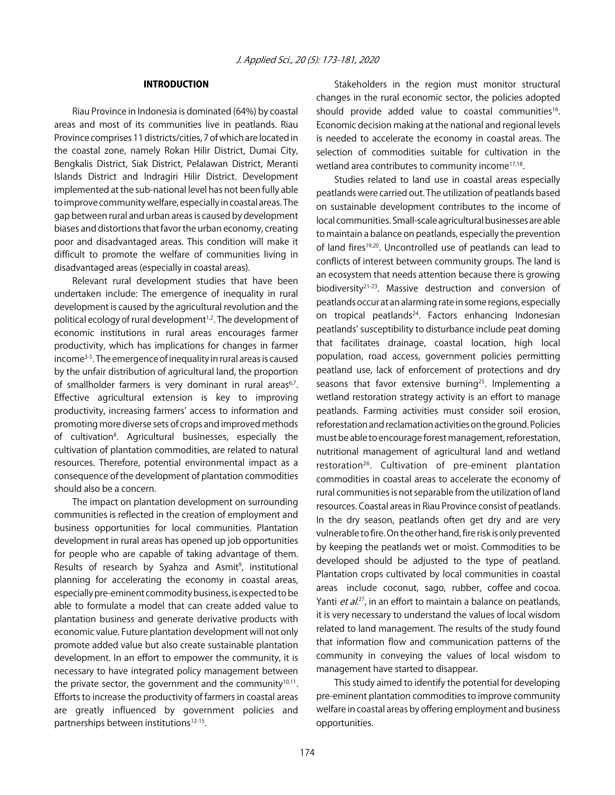#### INTRODUCTION

Riau Province in Indonesia is dominated (64%) by coastal areas and most of its communities live in peatlands. Riau Province comprises 11 districts/cities, 7 of which are located in the coastal zone, namely Rokan Hilir District, Dumai City, Bengkalis District, Siak District, Pelalawan District, Meranti Islands District and Indragiri Hilir District. Development implemented at the sub-national level has not been fully able to improve community welfare, especially in coastal areas. The gap between rural and urban areas is caused by development biases and distortions that favor the urban economy, creating poor and disadvantaged areas. This condition will make it difficult to promote the welfare of communities living in disadvantaged areas (especially in coastal areas).

Relevant rural development studies that have been undertaken include: The emergence of inequality in rural development is caused by the agricultural revolution and the political ecology of rural development<sup>1,2</sup>. The development of economic institutions in rural areas encourages farmer productivity, which has implications for changes in farmer income<sup>3-5</sup>. The emergence of inequality in rural areas is caused by the unfair distribution of agricultural land, the proportion of smallholder farmers is very dominant in rural areas<sup>6,7</sup>. Effective agricultural extension is key to improving productivity, increasing farmers' access to information and promoting more diverse sets of crops and improved methods of cultivation<sup>8</sup>. Agricultural businesses, especially the cultivation of plantation commodities, are related to natural resources. Therefore, potential environmental impact as a consequence of the development of plantation commodities should also be a concern.

The impact on plantation development on surrounding communities is reflected in the creation of employment and business opportunities for local communities. Plantation development in rural areas has opened up job opportunities for people who are capable of taking advantage of them. Results of research by Syahza and Asmit<sup>9</sup>, institutional planning for accelerating the economy in coastal areas, especially pre-eminent commodity business, is expected to be able to formulate a model that can create added value to plantation business and generate derivative products with economic value. Future plantation development will not only promote added value but also create sustainable plantation development. In an effort to empower the community, it is necessary to have integrated policy management between the private sector, the government and the community $10,11$ . Efforts to increase the productivity of farmers in coastal areas are greatly influenced by government policies and partnerships between institutions<sup>12-15</sup>.

Stakeholders in the region must monitor structural changes in the rural economic sector, the policies adopted should provide added value to coastal communities<sup>16</sup>. Economic decision making at the national and regional levels is needed to accelerate the economy in coastal areas. The selection of commodities suitable for cultivation in the wetland area contributes to community income<sup>17,18</sup>.

Studies related to land use in coastal areas especially peatlands were carried out. The utilization of peatlands based on sustainable development contributes to the income of local communities. Small-scale agricultural businesses are able to maintain a balance on peatlands, especially the prevention of land fires<sup>19,20</sup>. Uncontrolled use of peatlands can lead to conflicts of interest between community groups. The land is an ecosystem that needs attention because there is growing biodiversity<sup>21-23</sup>. Massive destruction and conversion of peatlands occur at an alarming rate in some regions, especially on tropical peatlands<sup>24</sup>. Factors enhancing Indonesian peatlands' susceptibility to disturbance include peat doming that facilitates drainage, coastal location, high local population, road access, government policies permitting peatland use, lack of enforcement of protections and dry seasons that favor extensive burning<sup>25</sup>. Implementing a wetland restoration strategy activity is an effort to manage peatlands. Farming activities must consider soil erosion, reforestation and reclamation activities on the ground. Policies must be able to encourage forest management, reforestation, nutritional management of agricultural land and wetland restoration<sup>26</sup>. Cultivation of pre-eminent plantation commodities in coastal areas to accelerate the economy of rural communities is not separable from the utilization of land resources. Coastal areas in Riau Province consist of peatlands. In the dry season, peatlands often get dry and are very vulnerable to fire. On the other hand, fire risk is only prevented by keeping the peatlands wet or moist. Commodities to be developed should be adjusted to the type of peatland. Plantation crops cultivated by local communities in coastal areas include coconut, sago, rubber, coffee and cocoa. Yanti *et al.*<sup>27</sup>, in an effort to maintain a balance on peatlands, it is very necessary to understand the values of local wisdom related to land management. The results of the study found that information flow and communication patterns of the community in conveying the values of local wisdom to management have started to disappear.

This study aimed to identify the potential for developing pre-eminent plantation commodities to improve community welfare in coastal areas by offering employment and business opportunities.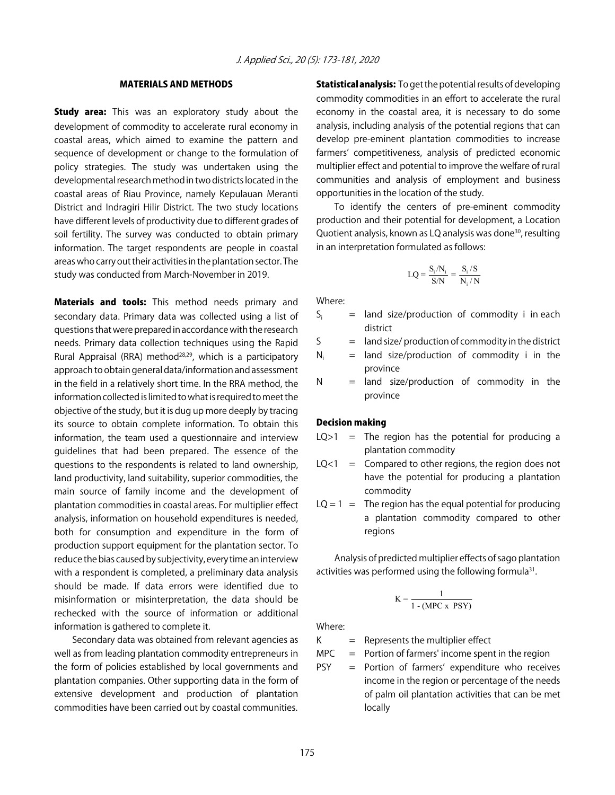#### MATERIALS AND METHODS

**Study area:** This was an exploratory study about the development of commodity to accelerate rural economy in coastal areas, which aimed to examine the pattern and sequence of development or change to the formulation of policy strategies. The study was undertaken using the developmental research method in two districts located in the coastal areas of Riau Province, namely Kepulauan Meranti District and Indragiri Hilir District. The two study locations have different levels of productivity due to different grades of soil fertility. The survey was conducted to obtain primary information. The target respondents are people in coastal areas who carry out their activities in the plantation sector. The study was conducted from March-November in 2019.

**Materials and tools:** This method needs primary and secondary data. Primary data was collected using a list of questions that were prepared in accordance with the research needs. Primary data collection techniques using the Rapid Rural Appraisal (RRA) method<sup>28,29</sup>, which is a participatory approach to obtain general data/information and assessment in the field in a relatively short time. In the RRA method, the information collected is limited to what is required to meet the objective of the study, but it is dug up more deeply by tracing its source to obtain complete information. To obtain this information, the team used a questionnaire and interview guidelines that had been prepared. The essence of the questions to the respondents is related to land ownership, land productivity, land suitability, superior commodities, the main source of family income and the development of plantation commodities in coastal areas. For multiplier effect analysis, information on household expenditures is needed, both for consumption and expenditure in the form of production support equipment for the plantation sector. To reduce the bias caused by subjectivity, every time an interview with a respondent is completed, a preliminary data analysis should be made. If data errors were identified due to misinformation or misinterpretation, the data should be rechecked with the source of information or additional information is gathered to complete it.

Secondary data was obtained from relevant agencies as well as from leading plantation commodity entrepreneurs in the form of policies established by local governments and plantation companies. Other supporting data in the form of extensive development and production of plantation commodities have been carried out by coastal communities.

**Statistical analysis:** To get the potential results of developing commodity commodities in an effort to accelerate the rural economy in the coastal area, it is necessary to do some analysis, including analysis of the potential regions that can develop pre-eminent plantation commodities to increase farmers' competitiveness, analysis of predicted economic multiplier effect and potential to improve the welfare of rural communities and analysis of employment and business opportunities in the location of the study.

To identify the centers of pre-eminent commodity production and their potential for development, a Location Quotient analysis, known as LQ analysis was done<sup>30</sup>, resulting in an interpretation formulated as follows:

$$
LQ = \frac{S_i/N_i}{S/N} = \frac{S_i/S}{N_i/N}
$$

Where:

- $S_i$  = land size/production of commodity i in each district
- $S =$  land size/ production of commodity in the district
- $N_i$  = land size/production of commodity i in the province
- $N =$  land size/production of commodity in the province

#### Decision making

- $LQ>1$  = The region has the potential for producing a plantation commodity
- $LQ<1$  = Compared to other regions, the region does not have the potential for producing a plantation commodity
- $LO = 1 =$  The region has the equal potential for producing a plantation commodity compared to other regions

Analysis of predicted multiplier effects of sago plantation activities was performed using the following formula<sup>31</sup>.

$$
K = \frac{1}{1 - (MPC x PSY)}
$$

Where:

 $K =$  Represents the multiplier effect

- $MPC =$  Portion of farmers' income spent in the region
- PSY = Portion of farmers' expenditure who receives income in the region or percentage of the needs of palm oil plantation activities that can be met locally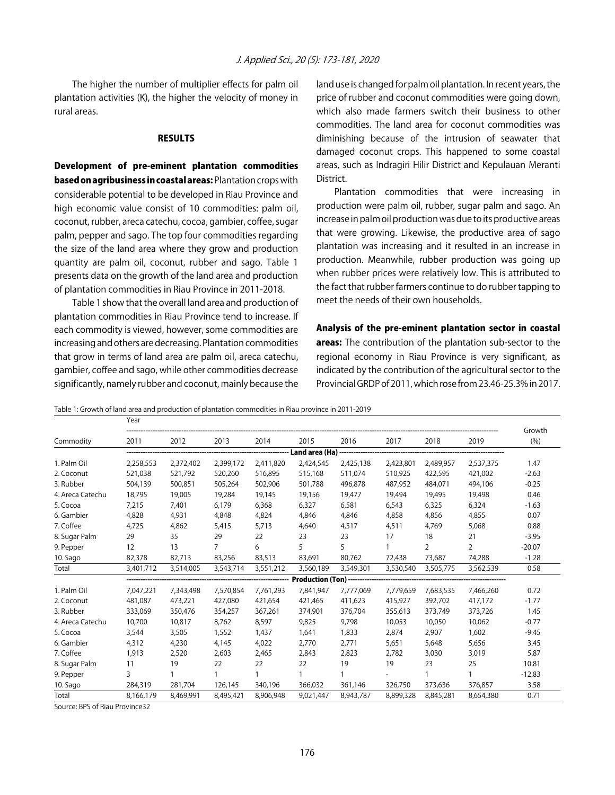The higher the number of multiplier effects for palm oil plantation activities (K), the higher the velocity of money in rural areas.

#### RESULTS

Development of pre-eminent plantation commodities based on agribusiness in coastal areas: Plantation crops with considerable potential to be developed in Riau Province and high economic value consist of 10 commodities: palm oil, coconut, rubber, areca catechu, cocoa, gambier, coffee, sugar palm, pepper and sago. The top four commodities regarding the size of the land area where they grow and production quantity are palm oil, coconut, rubber and sago. Table 1 presents data on the growth of the land area and production of plantation commodities in Riau Province in 2011-2018.

Table 1 show that the overall land area and production of plantation commodities in Riau Province tend to increase. If each commodity is viewed, however, some commodities are increasing and others are decreasing. Plantation commodities that grow in terms of land area are palm oil, areca catechu, gambier, coffee and sago, while other commodities decrease significantly, namely rubber and coconut, mainly because the

land use is changed for palm oil plantation. In recent years, the price of rubber and coconut commodities were going down, which also made farmers switch their business to other commodities. The land area for coconut commodities was diminishing because of the intrusion of seawater that damaged coconut crops. This happened to some coastal areas, such as Indragiri Hilir District and Kepulauan Meranti District.

Plantation commodities that were increasing in production were palm oil, rubber, sugar palm and sago. An increase in palm oil production was due to its productive areas that were growing. Likewise, the productive area of sago plantation was increasing and it resulted in an increase in production. Meanwhile, rubber production was going up when rubber prices were relatively low. This is attributed to the fact that rubber farmers continue to do rubber tapping to meet the needs of their own households.

Analysis of the pre-eminent plantation sector in coastal areas: The contribution of the plantation sub-sector to the regional economy in Riau Province is very significant, as indicated by the contribution of the agricultural sector to the Provincial GRDP of 2011, which rose from 23.46-25.3% in 2017.

Table 1: Growth of land area and production of plantation commodities in Riau province in 2011-2019

|                  | Year              |           |                |                |                                     |           |           |                |                |               |
|------------------|-------------------|-----------|----------------|----------------|-------------------------------------|-----------|-----------|----------------|----------------|---------------|
| Commodity        | 2011              | 2012      | 2013           | 2014           | 2015                                | 2016      | 2017      | 2018           | 2019           | Growth<br>(%) |
|                  |                   |           |                |                | Land area (Ha)                      |           |           |                |                |               |
| 1. Palm Oil      | 2,258,553         | 2,372,402 | 2,399,172      | 2,411,820      | 2,424,545                           | 2,425,138 | 2,423,801 | 2,489,957      | 2,537,375      | 1.47          |
| 2. Coconut       | 521,038           | 521,792   | 520,260        | 516,895        | 515,168                             | 511,074   | 510,925   | 422,595        | 421,002        | $-2.63$       |
| 3. Rubber        | 504,139           | 500,851   | 505,264        | 502,906        | 501,788                             | 496,878   | 487,952   | 484,071        | 494,106        | $-0.25$       |
| 4. Areca Catechu | 18,795            | 19,005    | 19,284         | 19,145         | 19,156                              | 19,477    | 19,494    | 19,495         | 19,498         | 0.46          |
| 5. Cocoa         | 7,215             | 7,401     | 6,179          | 6,368          | 6,327                               | 6,581     | 6,543     | 6,325          | 6,324          | $-1.63$       |
| 6. Gambier       | 4,828             | 4,931     | 4,848          | 4,824          | 4,846                               | 4,846     | 4,858     | 4,856          | 4,855          | 0.07          |
| 7. Coffee        | 4,725             | 4,862     | 5,415          | 5,713          | 4,640                               | 4,517     | 4,511     | 4,769          | 5,068          | 0.88          |
| 8. Sugar Palm    | 29                | 35        | 29             | 22             | 23                                  | 23        | 17        | 18             | 21             | $-3.95$       |
| 9. Pepper        | $12 \overline{ }$ | 13        | $\overline{7}$ | 6              | 5                                   | 5         | 1         | $\overline{2}$ | $\overline{2}$ | $-20.07$      |
| 10. Sago         | 82,378            | 82,713    | 83,256         | 83,513         | 83,691                              | 80,762    | 72,438    | 73,687         | 74,288         | $-1.28$       |
| Total            | 3,401,712         | 3,514,005 | 3,543,714      | 3,551,212      | 3,560,189                           | 3,549,301 | 3,530,540 | 3,505,775      | 3,562,539      | 0.58          |
|                  |                   |           |                | -------------- | <b>Production (Ton) -----------</b> |           |           |                |                |               |
| 1. Palm Oil      | 7,047,221         | 7,343,498 | 7,570,854      | 7,761,293      | 7,841,947                           | 7,777,069 | 7,779,659 | 7,683,535      | 7,466,260      | 0.72          |
| 2. Coconut       | 481,087           | 473,221   | 427,080        | 421,654        | 421.465                             | 411,623   | 415,927   | 392,702        | 417,172        | $-1.77$       |
| 3. Rubber        | 333,069           | 350,476   | 354,257        | 367,261        | 374,901                             | 376,704   | 355,613   | 373,749        | 373,726        | 1.45          |
| 4. Areca Catechu | 10,700            | 10,817    | 8,762          | 8,597          | 9,825                               | 9,798     | 10,053    | 10,050         | 10,062         | $-0.77$       |
| 5. Cocoa         | 3,544             | 3,505     | 1,552          | 1,437          | 1,641                               | 1,833     | 2,874     | 2,907          | 1,602          | $-9.45$       |
| 6. Gambier       | 4,312             | 4,230     | 4,145          | 4,022          | 2,770                               | 2,771     | 5,651     | 5,648          | 5,656          | 3.45          |
| 7. Coffee        | 1,913             | 2,520     | 2,603          | 2,465          | 2,843                               | 2,823     | 2,782     | 3,030          | 3,019          | 5.87          |
| 8. Sugar Palm    | 11                | 19        | 22             | 22             | 22                                  | 19        | 19        | 23             | 25             | 10.81         |
| 9. Pepper        | 3                 |           |                |                |                                     |           |           |                |                | $-12.83$      |
| 10. Sago         | 284,319           | 281,704   | 126,145        | 340,196        | 366,032                             | 361,146   | 326,750   | 373,636        | 376,857        | 3.58          |
| Total            | 8,166,179         | 8,469,991 | 8,495,421      | 8,906,948      | 9,021,447                           | 8,943,787 | 8,899,328 | 8,845,281      | 8,654,380      | 0.71          |

Source: BPS of Riau Province32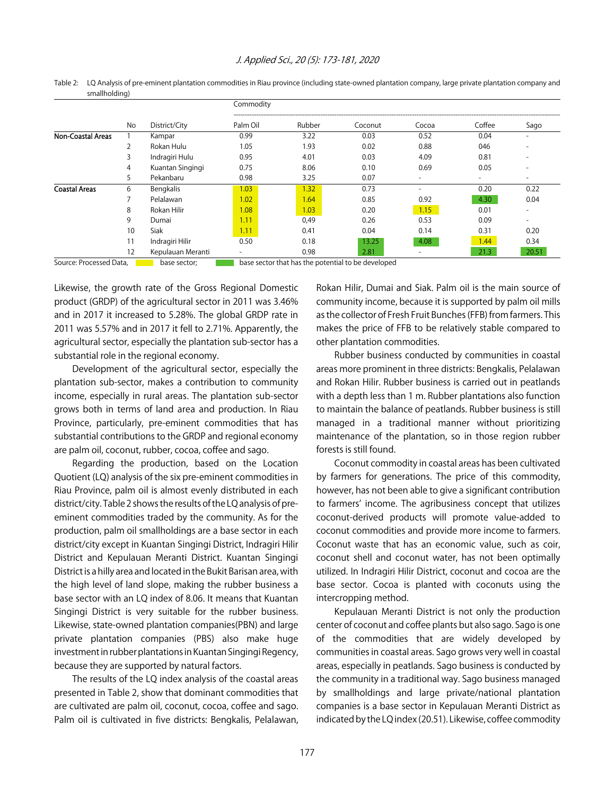|                      |                   | District/City     | Commodity |        |         |       |        |                          |  |  |
|----------------------|-------------------|-------------------|-----------|--------|---------|-------|--------|--------------------------|--|--|
|                      | No                |                   | Palm Oil  | Rubber | Coconut | Cocoa | Coffee | Sago                     |  |  |
| Non-Coastal Areas    |                   | Kampar            | 0.99      | 3.22   | 0.03    | 0.52  | 0.04   |                          |  |  |
|                      |                   | Rokan Hulu        | 1.05      | 1.93   | 0.02    | 0.88  | 046    |                          |  |  |
|                      |                   | Indragiri Hulu    | 0.95      | 4.01   | 0.03    | 4.09  | 0.81   | -                        |  |  |
|                      | 4                 | Kuantan Singingi  | 0.75      | 8.06   | 0.10    | 0.69  | 0.05   | $\overline{\phantom{0}}$ |  |  |
|                      | 5                 | Pekanbaru         | 0.98      | 3.25   | 0.07    | -     |        | $\overline{\phantom{a}}$ |  |  |
| <b>Coastal Areas</b> | 6                 | Bengkalis         | 1.03      | 1.32   | 0.73    | -     | 0.20   | 0.22                     |  |  |
|                      |                   | Pelalawan         | 1.02      | 1.64   | 0.85    | 0.92  | 4.30   | 0.04                     |  |  |
|                      | 8                 | Rokan Hilir       | 1.08      | 1.03   | 0.20    | 1.15  | 0.01   | $\overline{\phantom{a}}$ |  |  |
|                      | 9                 | Dumai             | 1.11      | 0,49   | 0.26    | 0.53  | 0.09   | $\overline{\phantom{a}}$ |  |  |
|                      | 10                | <b>Siak</b>       | 1.11      | 0.41   | 0.04    | 0.14  | 0.31   | 0.20                     |  |  |
|                      | 11                | Indragiri Hilir   | 0.50      | 0.18   | 13.25   | 4.08  | 1.44   | 0.34                     |  |  |
|                      | $12 \overline{ }$ | Kepulauan Meranti |           | 0.98   | 2.81    |       | 21.3   | 20.51                    |  |  |

Table 2: LQ Analysis of pre-eminent plantation commodities in Riau province (including state-owned plantation company, large private plantation company and smallholding)

Source: Processed Data, base sector; base sector that has the potential to be developed

Likewise, the growth rate of the Gross Regional Domestic product (GRDP) of the agricultural sector in 2011 was 3.46% and in 2017 it increased to 5.28%. The global GRDP rate in 2011 was 5.57% and in 2017 it fell to 2.71%. Apparently, the agricultural sector, especially the plantation sub-sector has a substantial role in the regional economy.

Development of the agricultural sector, especially the plantation sub-sector, makes a contribution to community income, especially in rural areas. The plantation sub-sector grows both in terms of land area and production. In Riau Province, particularly, pre-eminent commodities that has substantial contributions to the GRDP and regional economy are palm oil, coconut, rubber, cocoa, coffee and sago.

Regarding the production, based on the Location Quotient (LQ) analysis of the six pre-eminent commodities in Riau Province, palm oil is almost evenly distributed in each district/city. Table 2 shows the results of the LQ analysis of preeminent commodities traded by the community. As for the production, palm oil smallholdings are a base sector in each district/city except in Kuantan Singingi District, Indragiri Hilir District and Kepulauan Meranti District. Kuantan Singingi District is a hilly area and located in the Bukit Barisan area, with the high level of land slope, making the rubber business a base sector with an LQ index of 8.06. It means that Kuantan Singingi District is very suitable for the rubber business. Likewise, state-owned plantation companies(PBN) and large private plantation companies (PBS) also make huge investment in rubber plantations in Kuantan Singingi Regency, because they are supported by natural factors.

The results of the LQ index analysis of the coastal areas presented in Table 2, show that dominant commodities that are cultivated are palm oil, coconut, cocoa, coffee and sago. Palm oil is cultivated in five districts: Bengkalis, Pelalawan,

Rokan Hilir, Dumai and Siak. Palm oil is the main source of community income, because it is supported by palm oil mills as the collector of Fresh Fruit Bunches (FFB) from farmers. This makes the price of FFB to be relatively stable compared to other plantation commodities.

Rubber business conducted by communities in coastal areas more prominent in three districts: Bengkalis, Pelalawan and Rokan Hilir. Rubber business is carried out in peatlands with a depth less than 1 m. Rubber plantations also function to maintain the balance of peatlands. Rubber business is still managed in a traditional manner without prioritizing maintenance of the plantation, so in those region rubber forests is still found.

Coconut commodity in coastal areas has been cultivated by farmers for generations. The price of this commodity, however, has not been able to give a significant contribution to farmers' income. The agribusiness concept that utilizes coconut-derived products will promote value-added to coconut commodities and provide more income to farmers. Coconut waste that has an economic value, such as coir, coconut shell and coconut water, has not been optimally utilized. In Indragiri Hilir District, coconut and cocoa are the base sector. Cocoa is planted with coconuts using the intercropping method.

Kepulauan Meranti District is not only the production center of coconut and coffee plants but also sago. Sago is one of the commodities that are widely developed by communities in coastal areas. Sago grows very well in coastal areas, especially in peatlands. Sago business is conducted by the community in a traditional way. Sago business managed by smallholdings and large private/national plantation companies is a base sector in Kepulauan Meranti District as indicated by the LQ index (20.51). Likewise, coffee commodity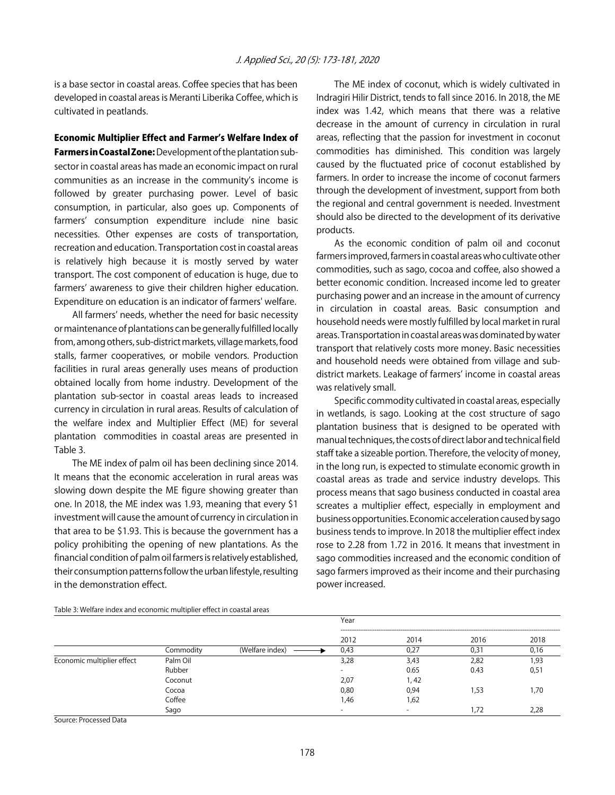is a base sector in coastal areas. Coffee species that has been developed in coastal areas is Meranti Liberika Coffee, which is cultivated in peatlands.

#### Economic Multiplier Effect and Farmer's Welfare Index of

Farmers in Coastal Zone: Development of the plantation subsector in coastal areas has made an economic impact on rural communities as an increase in the community's income is followed by greater purchasing power. Level of basic consumption, in particular, also goes up. Components of farmers' consumption expenditure include nine basic necessities. Other expenses are costs of transportation, recreation and education. Transportation cost in coastal areas is relatively high because it is mostly served by water transport. The cost component of education is huge, due to farmers' awareness to give their children higher education. Expenditure on education is an indicator of farmers' welfare.

All farmers' needs, whether the need for basic necessity or maintenance of plantations can be generally fulfilled locally from, among others, sub-district markets, village markets, food stalls, farmer cooperatives, or mobile vendors. Production facilities in rural areas generally uses means of production obtained locally from home industry. Development of the plantation sub-sector in coastal areas leads to increased currency in circulation in rural areas. Results of calculation of the welfare index and Multiplier Effect (ME) for several plantation commodities in coastal areas are presented in Table 3.

The ME index of palm oil has been declining since 2014. It means that the economic acceleration in rural areas was slowing down despite the ME figure showing greater than one. In 2018, the ME index was 1.93, meaning that every \$1 investment will cause the amount of currency in circulation in that area to be \$1.93. This is because the government has a policy prohibiting the opening of new plantations. As the financial condition of palm oil farmers is relatively established, their consumption patterns follow the urban lifestyle, resulting in the demonstration effect.

The ME index of coconut, which is widely cultivated in Indragiri Hilir District, tends to fall since 2016. In 2018, the ME index was 1.42, which means that there was a relative decrease in the amount of currency in circulation in rural areas, reflecting that the passion for investment in coconut commodities has diminished. This condition was largely caused by the fluctuated price of coconut established by farmers. In order to increase the income of coconut farmers through the development of investment, support from both the regional and central government is needed. Investment should also be directed to the development of its derivative products.

As the economic condition of palm oil and coconut farmers improved, farmers in coastal areas who cultivate other commodities, such as sago, cocoa and coffee, also showed a better economic condition. Increased income led to greater purchasing power and an increase in the amount of currency in circulation in coastal areas. Basic consumption and household needs were mostly fulfilled by local market in rural areas. Transportation in coastal areas was dominated by water transport that relatively costs more money. Basic necessities and household needs were obtained from village and subdistrict markets. Leakage of farmers' income in coastal areas was relatively small.

Specific commodity cultivated in coastal areas, especially in wetlands, is sago. Looking at the cost structure of sago plantation business that is designed to be operated with manual techniques, the costs of direct labor and technical field staff take a sizeable portion. Therefore, the velocity of money, in the long run, is expected to stimulate economic growth in coastal areas as trade and service industry develops. This process means that sago business conducted in coastal area screates a multiplier effect, especially in employment and business opportunities. Economic acceleration caused by sago business tends to improve. In 2018 the multiplier effect index rose to 2.28 from 1.72 in 2016. It means that investment in sago commodities increased and the economic condition of sago farmers improved as their income and their purchasing power increased.

|                            |           |                 | Year   |       |       |      |  |  |
|----------------------------|-----------|-----------------|--------|-------|-------|------|--|--|
|                            |           |                 | 2012   | 2014  | 2016  | 2018 |  |  |
|                            | Commodity | (Welfare index) | 0,43   | 0.27  | 0,31  | 0,16 |  |  |
| Economic multiplier effect | Palm Oil  |                 | 3,28   | 3,43  | 2,82  | ,93  |  |  |
|                            | Rubber    |                 | $\sim$ | 0.65  | 0.43  | 0,51 |  |  |
|                            | Coconut   |                 | 2,07   | 1, 42 |       |      |  |  |
|                            | Cocoa     |                 | 0,80   | 0,94  | 53, ا | 1.70 |  |  |
|                            | Coffee    |                 | ,46    | 1,62  |       |      |  |  |
|                            | Sago      |                 | -      |       | .72   | 2,28 |  |  |

Table 3: Welfare index and economic multiplier effect in coastal areas

Source: Processed Data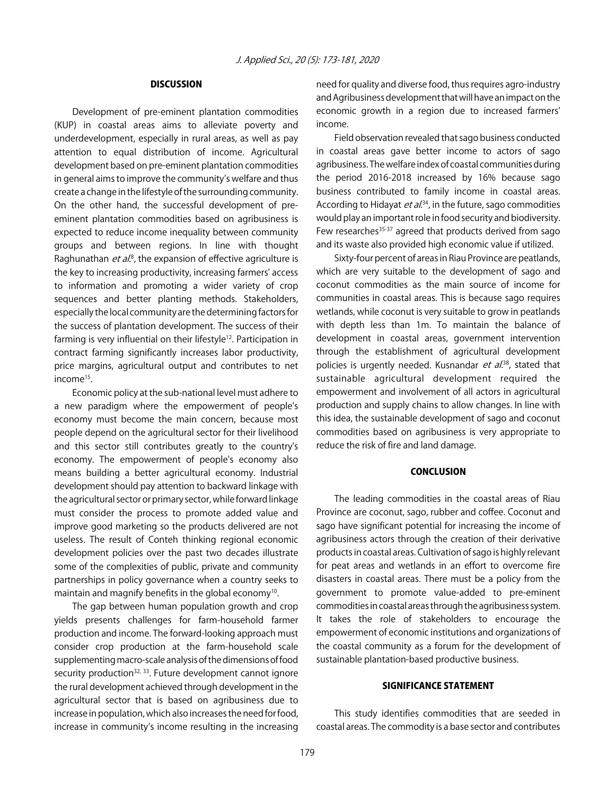#### **DISCUSSION**

Development of pre-eminent plantation commodities (KUP) in coastal areas aims to alleviate poverty and underdevelopment, especially in rural areas, as well as pay attention to equal distribution of income. Agricultural development based on pre-eminent plantation commodities in general aims to improve the community's welfare and thus create a change in the lifestyle of the surrounding community. On the other hand, the successful development of preeminent plantation commodities based on agribusiness is expected to reduce income inequality between community groups and between regions. In line with thought Raghunathan *et al*.<sup>8</sup>, the expansion of effective agriculture is the key to increasing productivity, increasing farmers' access to information and promoting a wider variety of crop sequences and better planting methods. Stakeholders, especially the local community are the determining factors for the success of plantation development. The success of their farming is very influential on their lifestyle<sup>12</sup>. Participation in contract farming significantly increases labor productivity, price margins, agricultural output and contributes to net income<sup>15</sup>.

Economic policy at the sub-national level must adhere to a new paradigm where the empowerment of people's economy must become the main concern, because most people depend on the agricultural sector for their livelihood and this sector still contributes greatly to the country's economy. The empowerment of people's economy also means building a better agricultural economy. Industrial development should pay attention to backward linkage with the agricultural sector or primary sector, while forward linkage must consider the process to promote added value and improve good marketing so the products delivered are not useless. The result of Conteh thinking regional economic development policies over the past two decades illustrate some of the complexities of public, private and community partnerships in policy governance when a country seeks to maintain and magnify benefits in the global economy<sup>10</sup>.

The gap between human population growth and crop yields presents challenges for farm-household farmer production and income. The forward-looking approach must consider crop production at the farm-household scale supplementing macro-scale analysis of the dimensions of food security production<sup>32, 33</sup>. Future development cannot ignore the rural development achieved through development in the agricultural sector that is based on agribusiness due to increase in population, which also increases the need for food, increase in community's income resulting in the increasing

need for quality and diverse food, thus requires agro-industry and Agribusiness development that will have an impact on the economic growth in a region due to increased farmers' income.

Field observation revealed that sago business conducted in coastal areas gave better income to actors of sago agribusiness. The welfare index of coastal communities during the period 2016-2018 increased by 16% because sago business contributed to family income in coastal areas. According to Hidayat *et al*.<sup>34</sup>, in the future, sago commodities would play an important role in food security and biodiversity. Few researches<sup>35-37</sup> agreed that products derived from sago and its waste also provided high economic value if utilized.

Sixty-four percent of areas in Riau Province are peatlands, which are very suitable to the development of sago and coconut commodities as the main source of income for communities in coastal areas. This is because sago requires wetlands, while coconut is very suitable to grow in peatlands with depth less than 1m. To maintain the balance of development in coastal areas, government intervention through the establishment of agricultural development policies is urgently needed. Kusnandar *et al.*<sup>38</sup>, stated that sustainable agricultural development required the empowerment and involvement of all actors in agricultural production and supply chains to allow changes. In line with this idea, the sustainable development of sago and coconut commodities based on agribusiness is very appropriate to reduce the risk of fire and land damage.

#### **CONCLUSION**

The leading commodities in the coastal areas of Riau Province are coconut, sago, rubber and coffee. Coconut and sago have significant potential for increasing the income of agribusiness actors through the creation of their derivative products in coastal areas. Cultivation of sago is highly relevant for peat areas and wetlands in an effort to overcome fire disasters in coastal areas. There must be a policy from the government to promote value-added to pre-eminent commodities in coastal areas through the agribusiness system. It takes the role of stakeholders to encourage the empowerment of economic institutions and organizations of the coastal community as a forum for the development of sustainable plantation-based productive business.

#### SIGNIFICANCE STATEMENT

This study identifies commodities that are seeded in coastal areas. The commodity is a base sector and contributes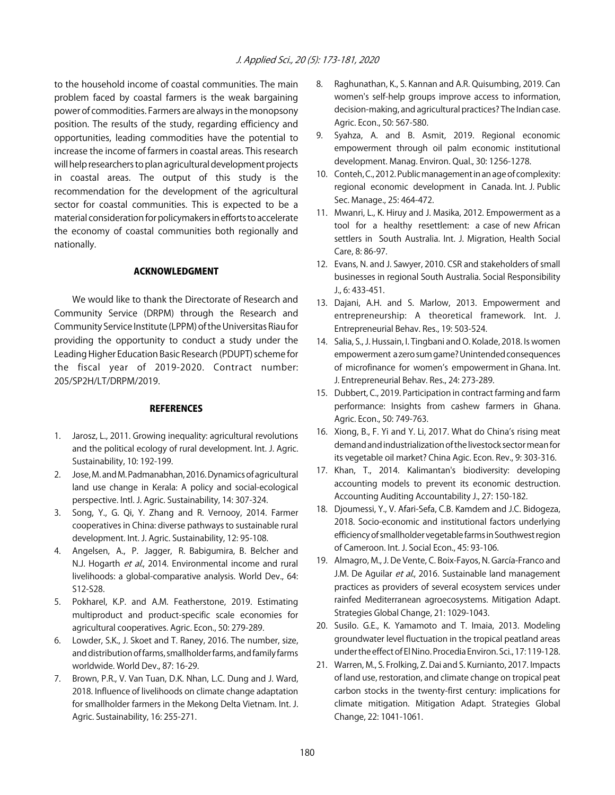to the household income of coastal communities. The main problem faced by coastal farmers is the weak bargaining power of commodities. Farmers are always in the monopsony position. The results of the study, regarding efficiency and opportunities, leading commodities have the potential to increase the income of farmers in coastal areas. This research will help researchers to plan agricultural development projects in coastal areas. The output of this study is the recommendation for the development of the agricultural sector for coastal communities. This is expected to be a material consideration for policymakers in efforts to accelerate the economy of coastal communities both regionally and nationally.

#### ACKNOWLEDGMENT

We would like to thank the Directorate of Research and Community Service (DRPM) through the Research and Community Service Institute (LPPM) of the Universitas Riau for providing the opportunity to conduct a study under the Leading Higher Education Basic Research (PDUPT) scheme for the fiscal year of 2019-2020. Contract number: 205/SP2H/LT/DRPM/2019.

#### **REFERENCES**

- 1. Jarosz, L., 2011. Growing inequality: agricultural revolutions and the political ecology of rural development. Int. J. Agric. Sustainability, 10: 192-199.
- 2. Jose, M. and M. Padmanabhan, 2016. Dynamics of agricultural land use change in Kerala: A policy and social-ecological perspective. Intl. J. Agric. Sustainability, 14: 307-324.
- 3. Song, Y., G. Qi, Y. Zhang and R. Vernooy, 2014. Farmer cooperatives in China: diverse pathways to sustainable rural development. Int. J. Agric. Sustainability, 12: 95-108.
- 4. Angelsen, A., P. Jagger, R. Babigumira, B. Belcher and N.J. Hogarth et al., 2014. Environmental income and rural livelihoods: a global-comparative analysis. World Dev., 64: S12-S28.
- 5. Pokharel, K.P. and A.M. Featherstone, 2019. Estimating multiproduct and product-specific scale economies for agricultural cooperatives. Agric. Econ., 50: 279-289.
- 6. Lowder, S.K., J. Skoet and T. Raney, 2016. The number, size, and distribution of farms, smallholder farms, and family farms worldwide. World Dev., 87: 16-29.
- 7. Brown, P.R., V. Van Tuan, D.K. Nhan, L.C. Dung and J. Ward, 2018. Influence of livelihoods on climate change adaptation for smallholder farmers in the Mekong Delta Vietnam. Int. J. Agric. Sustainability, 16: 255-271.
- 8. Raghunathan, K., S. Kannan and A.R. Quisumbing, 2019. Can women's self-help groups improve access to information, decision-making, and agricultural practices? The Indian case. Agric. Econ., 50: 567-580.
- 9. Syahza, A. and B. Asmit, 2019. Regional economic empowerment through oil palm economic institutional development. Manag. Environ. Qual., 30: 1256-1278.
- 10. Conteh, C., 2012. Public management in an age of complexity: regional economic development in Canada. Int. J. Public Sec. Manage., 25: 464-472.
- 11. Mwanri, L., K. Hiruy and J. Masika, 2012. Empowerment as a tool for a healthy resettlement: a case of new African settlers in South Australia. Int. J. Migration, Health Social Care, 8: 86-97.
- 12. Evans, N. and J. Sawyer, 2010. CSR and stakeholders of small businesses in regional South Australia. Social Responsibility J., 6: 433-451.
- 13. Dajani, A.H. and S. Marlow, 2013. Empowerment and entrepreneurship: A theoretical framework. Int. J. Entrepreneurial Behav. Res., 19: 503-524.
- 14. Salia, S., J. Hussain, I. Tingbani and O. Kolade, 2018. Is women empowerment a zero sum game? Unintended consequences of microfinance for women's empowerment in Ghana. Int. J. Entrepreneurial Behav. Res., 24: 273-289.
- 15. Dubbert, C., 2019. Participation in contract farming and farm performance: Insights from cashew farmers in Ghana. Agric. Econ., 50: 749-763.
- 16. Xiong, B., F. Yi and Y. Li, 2017. What do China's rising meat demand and industrialization of the livestock sector mean for its vegetable oil market? China Agic. Econ. Rev., 9: 303-316.
- 17. Khan, T., 2014. Kalimantan's biodiversity: developing accounting models to prevent its economic destruction. Accounting Auditing Accountability J., 27: 150-182.
- 18. Djoumessi, Y., V. Afari-Sefa, C.B. Kamdem and J.C. Bidogeza, 2018. Socio-economic and institutional factors underlying efficiency of smallholder vegetable farms in Southwest region of Cameroon. Int. J. Social Econ., 45: 93-106.
- 19. Almagro, M., J. De Vente, C. Boix-Fayos, N. García-Franco and J.M. De Aguilar et al., 2016. Sustainable land management practices as providers of several ecosystem services under rainfed Mediterranean agroecosystems. Mitigation Adapt. Strategies Global Change, 21: 1029-1043.
- 20. Susilo. G.E., K. Yamamoto and T. Imaia, 2013. Modeling groundwater level fluctuation in the tropical peatland areas under the effect of El Nino. Procedia Environ. Sci., 17: 119-128.
- 21. Warren, M., S. Frolking, Z. Dai and S. Kurnianto, 2017. Impacts of land use, restoration, and climate change on tropical peat carbon stocks in the twenty-first century: implications for climate mitigation. Mitigation Adapt. Strategies Global Change, 22: 1041-1061.